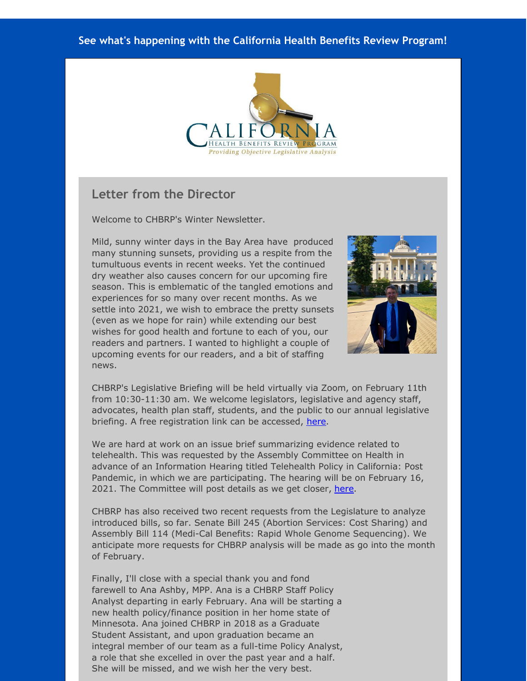#### **See what's happening with the California Health Benefits Review Program!**



#### **Letter from the Director**

Welcome to CHBRP's Winter Newsletter.

Mild, sunny winter days in the Bay Area have produced many stunning sunsets, providing us a respite from the tumultuous events in recent weeks. Yet the continued dry weather also causes concern for our upcoming fire season. This is emblematic of the tangled emotions and experiences for so many over recent months. As we settle into 2021, we wish to embrace the pretty sunsets (even as we hope for rain) while extending our best wishes for good health and fortune to each of you, our readers and partners. I wanted to highlight a couple of upcoming events for our readers, and a bit of staffing news.



CHBRP's Legislative Briefing will be held virtually via Zoom, on February 11th from 10:30-11:30 am. We welcome legislators, legislative and agency staff, advocates, health plan staff, students, and the public to our annual legislative briefing. A free registration link can be accessed, [here](http://r20.rs6.net/tn.jsp?f=001HKzpRsL4spSnN5VLLjts6OrY0vZcdIRzAdcQq2ZUtGaLgqEZw_FkMS7fiqWfssVZmm7UmEcwmr-6BbX9eFy2qtcQaeiSqEZtEt_lg4wPtHUJYoV4qUoTtcyDkCO6RSb0HRCz739FP7TIXyYdzCtoO6gCg_8R7E62-FT2Vr3ej0BShGpYRQlJbiAb-2WDFpy12PARb4gKQJzxLWHeLyxNN-S_HTf8m3qaniKCIACgXZJCTqprKCfAbss6Z-AQ5IAkXXKemfCT7dnRmPZr5KbLGpwcLQ3WsvXnSB1ZVfLjOJXQT0M8HisssmMB66GhlYmBX0lePdQeoDgXq9TA-YNYfgdoA0ElVQPm0c86pf_4Y9bndLfIVTfLDFZ1-eWP35iqkmsTSgCzJwk=&c=&ch=).

We are hard at work on an issue brief summarizing evidence related to telehealth. This was requested by the Assembly Committee on Health in advance of an Information Hearing titled Telehealth Policy in California: Post Pandemic, in which we are participating. The hearing will be on February 16, 2021. The Committee will post details as we get closer, [here](http://r20.rs6.net/tn.jsp?f=001HKzpRsL4spSnN5VLLjts6OrY0vZcdIRzAdcQq2ZUtGaLgqEZw_FkMaI1VBU7L30sIb_sSYZRktwVF-oDlNK1OhtGcEK7GqidiPAj8m_Z-NkabfwFBbrMG5dfXAZ_0ExIdSy6lsonbGw77uIRRSRTg-ss4LZTmfrrZmqR0BJEVpUBAuywfgfT2BdrQIsyIYdeBH3_OszfNmqL1L18FCTGBMjgf3v1sC7eivd2GbRqg9VxyewIEsZK7E8lfaOy9FHrqpzbMFfbPDjOsXywMjdzFH2E_r-S7Dsiye6MDT5imQqJTjOTN1R_RnNpbhO80iGGeJfe_lANrIRdDDX8dUvFbg==&c=&ch=).

CHBRP has also received two recent requests from the Legislature to analyze introduced bills, so far. Senate Bill 245 (Abortion Services: Cost Sharing) and Assembly Bill 114 (Medi-Cal Benefits: Rapid Whole Genome Sequencing). We anticipate more requests for CHBRP analysis will be made as go into the month of February.

Finally, I'll close with a special thank you and fond farewell to Ana Ashby, MPP. Ana is a CHBRP Staff Policy Analyst departing in early February. Ana will be starting a new health policy/finance position in her home state of Minnesota. Ana joined CHBRP in 2018 as a Graduate Student Assistant, and upon graduation became an integral member of our team as a full-time Policy Analyst, a role that she excelled in over the past year and a half. She will be missed, and we wish her the very best.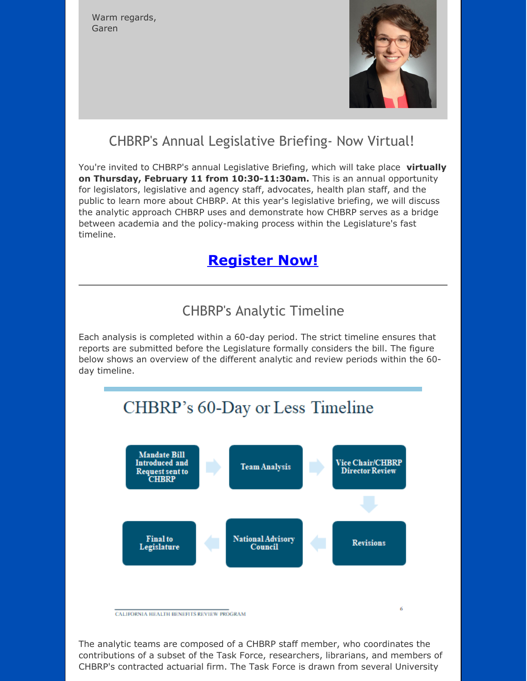Warm regards, Garen



## CHBRP's Annual Legislative Briefing- Now Virtual!

You're invited to CHBRP's annual Legislative Briefing, which will take place **virtually on Thursday, February 11 from 10:30-11:30am.** This is an annual opportunity for legislators, legislative and agency staff, advocates, health plan staff, and the public to learn more about CHBRP. At this year's legislative briefing, we will discuss the analytic approach CHBRP uses and demonstrate how CHBRP serves as a bridge between academia and the policy-making process within the Legislature's fast timeline.

## **[Register](http://r20.rs6.net/tn.jsp?f=001HKzpRsL4spSnN5VLLjts6OrY0vZcdIRzAdcQq2ZUtGaLgqEZw_FkMS7fiqWfssVZmm7UmEcwmr-6BbX9eFy2qtcQaeiSqEZtEt_lg4wPtHUJYoV4qUoTtcyDkCO6RSb0HRCz739FP7TIXyYdzCtoO6gCg_8R7E62-FT2Vr3ej0BShGpYRQlJbiAb-2WDFpy12PARb4gKQJzxLWHeLyxNN-S_HTf8m3qaniKCIACgXZJCTqprKCfAbss6Z-AQ5IAkXXKemfCT7dnRmPZr5KbLGpwcLQ3WsvXnSB1ZVfLjOJXQT0M8HisssmMB66GhlYmBX0lePdQeoDgXq9TA-YNYfgdoA0ElVQPm0c86pf_4Y9bndLfIVTfLDFZ1-eWP35iqkmsTSgCzJwk=&c=&ch=) Now!**

## CHBRP's Analytic Timeline

Each analysis is completed within a 60-day period. The strict timeline ensures that reports are submitted before the Legislature formally considers the bill. The figure below shows an overview of the different analytic and review periods within the 60 day timeline.

# CHBRP's 60-Day or Less Timeline



The analytic teams are composed of a CHBRP staff member, who coordinates the contributions of a subset of the Task Force, researchers, librarians, and members of CHBRP's contracted actuarial firm. The Task Force is drawn from several University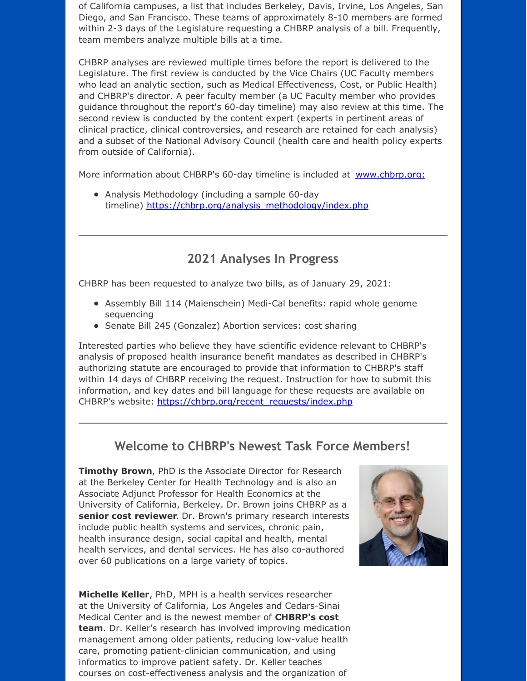of California campuses, a list that includes Berkeley, Davis, Irvine, Los Angeles, San Diego, and San Francisco. These teams of approximately 8-10 members are formed within 2-3 days of the Legislature requesting a CHBRP analysis of a bill. Frequently, team members analyze multiple bills at a time.

CHBRP analyses are reviewed multiple times before the report is delivered to the Legislature. The first review is conducted by the Vice Chairs (UC Faculty members who lead an analytic section, such as Medical Effectiveness, Cost, or Public Health) and CHBRP's director. A peer faculty member (a UC Faculty member who provides guidance throughout the report's 60-day timeline) may also review at this time. The second review is conducted by the content expert (experts in pertinent areas of clinical practice, clinical controversies, and research are retained for each analysis) and a subset of the National Advisory Council (health care and health policy experts from outside of California).

More information about CHBRP's 60-day timeline is included at [www.chbrp.org:](http://r20.rs6.net/tn.jsp?f=001HKzpRsL4spSnN5VLLjts6OrY0vZcdIRzAdcQq2ZUtGaLgqEZw_FkMaI1VBU7L30s010V-jPB25LkvCftaSH08JHPALfpJd-IBgfsBFsCLnGhaYYmLuqfBJGg5UWlaiOJKF0TooxZR0nBvaWqkZV-SPf6Wq5-NtR0QmSVyI-BNYpjI6YtLEQkJuNGranArW9HL54NN-cQDS0LEI9s07J3QcFCt_-aOwGHajSqEO275solPYUgH3yvzPA-eEJo6MDD1ahbpd-m8fhJ5BaPLfzClW4cBrEhUbaoVAhEupnVlIQ1lJmpRRBoLjmOtbU4qa2Z8H-Sol5MUt4=&c=&ch=)

Analysis Methodology (including a sample 60-day timeline) [https://chbrp.org/analysis\\_methodology/index.php](http://r20.rs6.net/tn.jsp?f=001HKzpRsL4spSnN5VLLjts6OrY0vZcdIRzAdcQq2ZUtGaLgqEZw_FkMaI1VBU7L30sd8x0qcysg--DMXV8lTuO0C0Kbk7EGg8QBSTrl4voiAN5YSHlGScjHjVbnABQOgtN_awl-LeznRFnz-msUdW1FPcX6Ub_ifk4G--8qf4CfKXtnLB1KovD5yAoFR8h-grMvD8lIOXfV1qcBr0aS7C0a2AgcZOMasu5Q50fu79Xd-kPQpHv1oJddfRjxmDPFnXiqU87bRi5li1hZvuusw8cCr9Epsmt41zl7PLoKBS0BTPoyH4zhF9ykJgTY7SJoz_hqxT_S3_SX44eXaLxfEVQdQImEAlC5qDqG4i7qDVigCk=&c=&ch=)

#### **2021 Analyses In Progress**

CHBRP has been requested to analyze two bills, as of January 29, 2021:

- Assembly Bill 114 (Maienschein) Medi-Cal benefits: rapid whole genome sequencing
- Senate Bill 245 (Gonzalez) Abortion services: cost sharing

Interested parties who believe they have scientific evidence relevant to CHBRP's analysis of proposed health insurance benefit mandates as described in CHBRP's authorizing statute are encouraged to provide that information to CHBRP's staff within 14 days of CHBRP receiving the request. Instruction for how to submit this information, and key dates and bill language for these requests are available on CHBRP's website: [https://chbrp.org/recent\\_requests/index.php](http://r20.rs6.net/tn.jsp?f=001HKzpRsL4spSnN5VLLjts6OrY0vZcdIRzAdcQq2ZUtGaLgqEZw_FkMaI1VBU7L30s8jowmD1KIBahgNf37FeFDcveVJLtiwzVPQVlwImtS-uUCZYGfOaPBItDWHIfaUgvCC5blwcs8IFKknQcpR5K0vMB2xu8j1MbdWCN4ezXNyH36nKixwMRsrYiO4i6zUHkxMX3bf9k_jpzbqYnuiXTWBbcmKnqrDBpVHW7beHth3UI0I7sdFY0PMsno-HPaUwDwt7hI0FMrzx95c2PAi2h-onE9-IOGMwwJlISxkxG4gaL3rrEje4B5WXgeRMlwqR4Gec8YdDUz36CpPpz_7Rr0P8yjgdx9at8&c=&ch=)

#### **Welcome to CHBRP's Newest Task Force Members!**

**Timothy Brown**, PhD is the Associate Director for Research at the Berkeley Center for Health Technology and is also an Associate Adjunct Professor for Health Economics at the University of California, Berkeley. Dr. Brown joins CHBRP as a **senior cost reviewer**. Dr. Brown's primary research interests include public health systems and services, chronic pain, health insurance design, social capital and health, mental health services, and dental services. He has also co-authored over 60 publications on a large variety of topics.

**Michelle Keller**, PhD, MPH is a health services researcher at the University of California, Los Angeles and Cedars-Sinai Medical Center and is the newest member of **CHBRP's cost team**. Dr. Keller's research has involved improving medication management among older patients, reducing low-value health care, promoting patient-clinician communication, and using informatics to improve patient safety. Dr. Keller teaches courses on cost-effectiveness analysis and the organization of

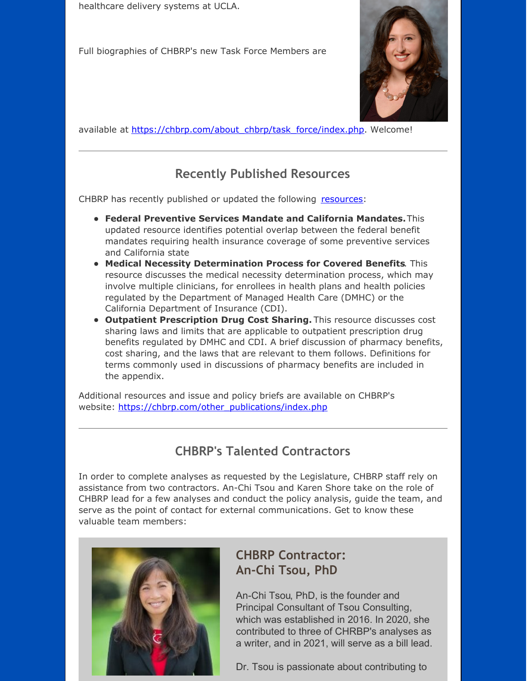healthcare delivery systems at UCLA.

Full biographies of CHBRP's new Task Force Members are



available at [https://chbrp.com/about\\_chbrp/task\\_force/index.php](http://r20.rs6.net/tn.jsp?f=001HKzpRsL4spSnN5VLLjts6OrY0vZcdIRzAdcQq2ZUtGaLgqEZw_FkMZhskAlFVePQ-mcpOtQQHMzgdfK7fyCeLzJFLkfIC_gW087wIi044lwM6b5YC1E5DLERBNWkiPzU2yj7LAHPWwbvFmSfoFq6up9RmYc6D9e8gqLkSO0m4G3Ol8oxSJZcJS3eOT1X59S5SYMvzjXX4JHArsbGtIiPdOJryQEpAP0GsWe704-wbG0GBlGLBxzxpGUYFe9wrXGEOZdKhdJ7B5oJhfkxQAdp2lIVHvN8p92j8XlJ7BOfrEJ2ClsuXW4pP2cy5y_bj8tTI16qCvBUWOnH9I20NEzssjLZMzcyFdHTMzLpq_QiVKs=&c=&ch=). Welcome!

## **Recently Published Resources**

CHBRP has recently published or updated the following [resources](http://r20.rs6.net/tn.jsp?f=001HKzpRsL4spSnN5VLLjts6OrY0vZcdIRzAdcQq2ZUtGaLgqEZw_FkMZhskAlFVePQv7xm_S7R_wv2PItVDJ33i96rEiRNZGfNPTo2roXYkr0Zw1tAt8BM98sJbTK8O4KsP2sL3dopWr51xIAj-Zfnj7MfVAB162CMUOmf27jXI6lChT5qpu6qzbNZpUFUnjWaRlrADQlfyfzoUzNcQMZw78X9CFZ_jGkYl-8slig_Tdc8NaU4n8whYq5eBZFdwYqeuzoNs57Eg71Ow3STB1H54gWPWZx-J-37TM5YEfZq6HH0TyYZc1Rf54Io0PkId9CviE509x-SQ1HHWNtMoywq8Yl_Hqnbnpuqh5Xz1jQFsTxLH7L7cPMsq13MJ85ttm1yWdWcax5yMU0=&c=&ch=):

- **Federal Preventive Services Mandate and California Mandates.**This updated resource identifies potential overlap between the federal benefit mandates requiring health insurance coverage of some preventive services and California state
- **Medical Necessity Determination Process for Covered Benefits**. This resource discusses the medical necessity determination process, which may involve multiple clinicians, for enrollees in health plans and health policies regulated by the Department of Managed Health Care (DMHC) or the California Department of Insurance (CDI).
- **Outpatient Prescription Drug Cost Sharing.** This resource discusses cost sharing laws and limits that are applicable to outpatient prescription drug benefits regulated by DMHC and CDI. A brief discussion of pharmacy benefits, cost sharing, and the laws that are relevant to them follows. Definitions for terms commonly used in discussions of pharmacy benefits are included in the appendix.

Additional resources and issue and policy briefs are available on CHBRP's website: [https://chbrp.com/other\\_publications/index.php](http://r20.rs6.net/tn.jsp?f=001HKzpRsL4spSnN5VLLjts6OrY0vZcdIRzAdcQq2ZUtGaLgqEZw_FkMaI1VBU7L30sp5qkYuBkUI3yP4Oz9q5fNRwgAsF2_A64B_o36Gs8LlvH-846iVsJIgwo1TZsSKatQSo4Jfbho5XVAm2hUv_8UsjiX7Xk7mJdzYZ7V94hoLXT1DE6OBaEcpWEPBv7mQno4lZeivYd7cXLMPkWtbhy8k4V3mO51dPAsxQT4xaimbx8jCNKeT5XE7I7qAohw-X_tC5URcdjB6xmqNv8j__WLO6z5P5f6kIMxioghXKk-my7U0cfZNY7rdnLaW50f0hytO7nJmsy-K7fUYH7fm59J1gn68R0i1UFDnjCGQ-wkD8=&c=&ch=)

## **CHBRP's Talented Contractors**

In order to complete analyses as requested by the Legislature, CHBRP staff rely on assistance from two contractors. An-Chi Tsou and Karen Shore take on the role of CHBRP lead for a few analyses and conduct the policy analysis, guide the team, and serve as the point of contact for external communications. Get to know these valuable team members:



#### **CHBRP Contractor: An-Chi Tsou, PhD**

An-Chi Tsou, PhD, is the founder and Principal Consultant of Tsou Consulting, which was established in 2016. In 2020, she contributed to three of CHRBP's analyses as a writer, and in 2021, will serve as a bill lead.

Dr. Tsou is passionate about contributing to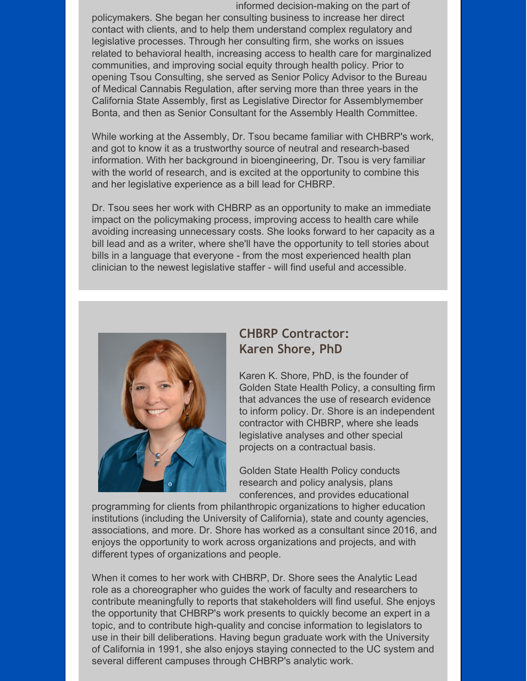informed decision-making on the part of policymakers. She began her consulting business to increase her direct contact with clients, and to help them understand complex regulatory and legislative processes. Through her consulting firm, she works on issues related to behavioral health, increasing access to health care for marginalized communities, and improving social equity through health policy. Prior to opening Tsou Consulting, she served as Senior Policy Advisor to the Bureau of Medical Cannabis Regulation, after serving more than three years in the California State Assembly, first as Legislative Director for Assemblymember Bonta, and then as Senior Consultant for the Assembly Health Committee.

While working at the Assembly, Dr. Tsou became familiar with CHBRP's work, and got to know it as a trustworthy source of neutral and research-based information. With her background in bioengineering, Dr. Tsou is very familiar with the world of research, and is excited at the opportunity to combine this and her legislative experience as a bill lead for CHBRP.

Dr. Tsou sees her work with CHBRP as an opportunity to make an immediate impact on the policymaking process, improving access to health care while avoiding increasing unnecessary costs. She looks forward to her capacity as a bill lead and as a writer, where she'll have the opportunity to tell stories about bills in a language that everyone - from the most experienced health plan clinician to the newest legislative staffer - will find useful and accessible.



#### **CHBRP Contractor: Karen Shore, PhD**

Karen K. Shore, PhD, is the founder of Golden State Health Policy, a consulting firm that advances the use of research evidence to inform policy. Dr. Shore is an independent contractor with CHBRP, where she leads legislative analyses and other special projects on a contractual basis.

Golden State Health Policy conducts research and policy analysis, plans conferences, and provides educational

programming for clients from philanthropic organizations to higher education institutions (including the University of California), state and county agencies, associations, and more. Dr. Shore has worked as a consultant since 2016, and enjoys the opportunity to work across organizations and projects, and with different types of organizations and people.

When it comes to her work with CHBRP, Dr. Shore sees the Analytic Lead role as a choreographer who guides the work of faculty and researchers to contribute meaningfully to reports that stakeholders will find useful. She enjoys the opportunity that CHBRP's work presents to quickly become an expert in a topic, and to contribute high-quality and concise information to legislators to use in their bill deliberations. Having begun graduate work with the University of California in 1991, she also enjoys staying connected to the UC system and several different campuses through CHBRP's analytic work.